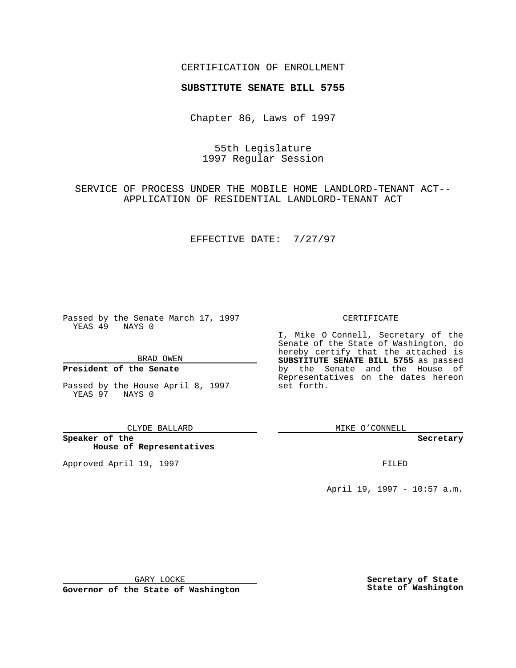## CERTIFICATION OF ENROLLMENT

# **SUBSTITUTE SENATE BILL 5755**

Chapter 86, Laws of 1997

55th Legislature 1997 Regular Session

SERVICE OF PROCESS UNDER THE MOBILE HOME LANDLORD-TENANT ACT-- APPLICATION OF RESIDENTIAL LANDLORD-TENANT ACT

EFFECTIVE DATE: 7/27/97

Passed by the Senate March 17, 1997 YEAS 49 NAYS 0

BRAD OWEN

### **President of the Senate**

Passed by the House April 8, 1997 YEAS 97 NAYS 0

CLYDE BALLARD

**Speaker of the House of Representatives**

Approved April 19, 1997 **FILED** 

#### CERTIFICATE

I, Mike O Connell, Secretary of the Senate of the State of Washington, do hereby certify that the attached is **SUBSTITUTE SENATE BILL 5755** as passed by the Senate and the House of Representatives on the dates hereon set forth.

MIKE O'CONNELL

**Secretary**

April 19, 1997 - 10:57 a.m.

GARY LOCKE

**Governor of the State of Washington**

**Secretary of State State of Washington**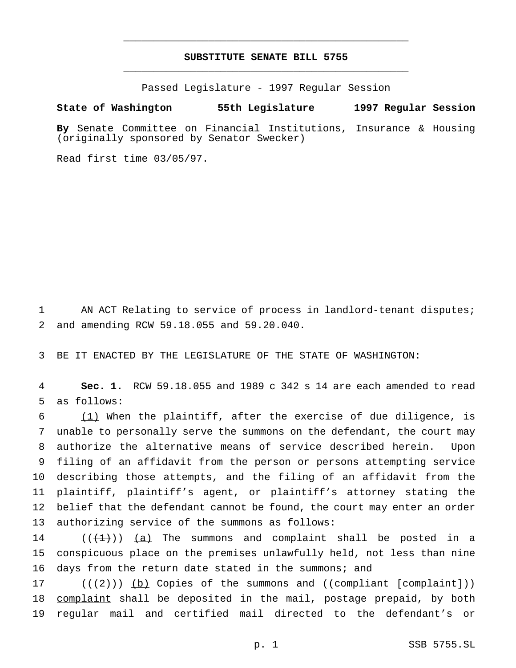## **SUBSTITUTE SENATE BILL 5755** \_\_\_\_\_\_\_\_\_\_\_\_\_\_\_\_\_\_\_\_\_\_\_\_\_\_\_\_\_\_\_\_\_\_\_\_\_\_\_\_\_\_\_\_\_\_\_

\_\_\_\_\_\_\_\_\_\_\_\_\_\_\_\_\_\_\_\_\_\_\_\_\_\_\_\_\_\_\_\_\_\_\_\_\_\_\_\_\_\_\_\_\_\_\_

Passed Legislature - 1997 Regular Session

### **State of Washington 55th Legislature 1997 Regular Session**

**By** Senate Committee on Financial Institutions, Insurance & Housing (originally sponsored by Senator Swecker)

Read first time 03/05/97.

 AN ACT Relating to service of process in landlord-tenant disputes; and amending RCW 59.18.055 and 59.20.040.

BE IT ENACTED BY THE LEGISLATURE OF THE STATE OF WASHINGTON:

 **Sec. 1.** RCW 59.18.055 and 1989 c 342 s 14 are each amended to read as follows:

 (1) When the plaintiff, after the exercise of due diligence, is unable to personally serve the summons on the defendant, the court may authorize the alternative means of service described herein. Upon filing of an affidavit from the person or persons attempting service describing those attempts, and the filing of an affidavit from the plaintiff, plaintiff's agent, or plaintiff's attorney stating the belief that the defendant cannot be found, the court may enter an order authorizing service of the summons as follows:

14  $((+1))$   $(a)$  The summons and complaint shall be posted in a conspicuous place on the premises unlawfully held, not less than nine days from the return date stated in the summons; and

 $((2))$  (b) Copies of the summons and ((compliant [complaint])) 18 complaint shall be deposited in the mail, postage prepaid, by both regular mail and certified mail directed to the defendant's or